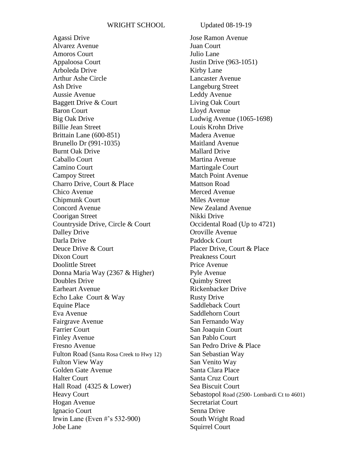Agassi Drive Alvarez Avenue Amoros Court Appaloosa Court Arboleda Drive Arthur Ashe Circle Ash Drive Aussie Avenue Baggett Drive & Court Baron Court Big Oak Drive Billie Jean Street Brittain Lane (600-851) Brunello Dr (991-1035) Burnt Oak Drive Caballo Court Camino Court Campoy Street Charro Drive, Court & Place Chico Avenue Chipmunk Court Concord Avenue Coorigan Street Countryside Drive, Circle & Court Dalley Drive Darla Drive Deuce Drive & Court Dixon Court Doolittle Street Donna Maria Way (2367 & Higher) Doubles Drive Earheart Avenue Echo Lake Court & Way Equine Place Eva Avenue Fairgrave Avenue Farrier Court Finley Avenue Fresno Avenue Fulton Road (Santa Rosa Creek to Hwy 12) Fulton View Way Golden Gate Avenue Halter Court Hall Road (4325 & Lower) Heavy Court Hogan Avenue Ignacio Court Irwin Lane (Even #'s 532-900) Jobe Lane

Jose Ramon Avenue Juan Court Julio Lane Justin Drive (963-1051) Kirby Lane Lancaster Avenue Langeburg Street Leddy Avenue Living Oak Court Lloyd Avenue Ludwig Avenue (1065-1698) Louis Krohn Drive Madera Avenue Maitland Avenue Mallard Drive Martina Avenue Martingale Court Match Point Avenue Mattson Road Merced Avenue Miles Avenue New Zealand Avenue Nikki Drive Occidental Road (Up to 4721) Oroville Avenue Paddock Court Placer Drive, Court & Place Preakness Court Price Avenue Pyle Avenue Quimby Street Rickenbacker Drive Rusty Drive Saddleback Court Saddlehorn Court San Fernando Way San Joaquin Court San Pablo Court San Pedro Drive & Place San Sebastian Way San Venito Way Santa Clara Place Santa Cruz Court Sea Biscuit Court Sebastopol Road (2500- Lombardi Ct to 4601) Secretariat Court Senna Drive South Wright Road Squirrel Court